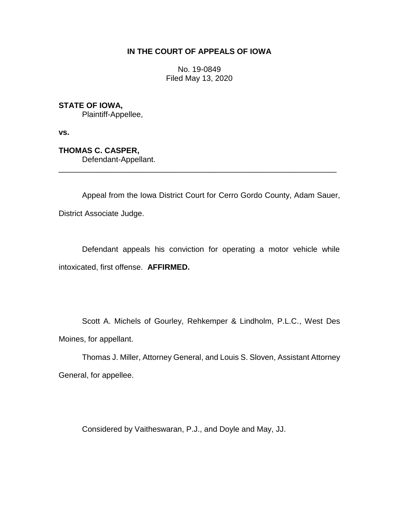## **IN THE COURT OF APPEALS OF IOWA**

No. 19-0849 Filed May 13, 2020

**STATE OF IOWA,**

Plaintiff-Appellee,

**vs.**

**THOMAS C. CASPER,** Defendant-Appellant.

Appeal from the Iowa District Court for Cerro Gordo County, Adam Sauer, District Associate Judge.

\_\_\_\_\_\_\_\_\_\_\_\_\_\_\_\_\_\_\_\_\_\_\_\_\_\_\_\_\_\_\_\_\_\_\_\_\_\_\_\_\_\_\_\_\_\_\_\_\_\_\_\_\_\_\_\_\_\_\_\_\_\_\_\_

Defendant appeals his conviction for operating a motor vehicle while intoxicated, first offense. **AFFIRMED.**

Scott A. Michels of Gourley, Rehkemper & Lindholm, P.L.C., West Des Moines, for appellant.

Thomas J. Miller, Attorney General, and Louis S. Sloven, Assistant Attorney General, for appellee.

Considered by Vaitheswaran, P.J., and Doyle and May, JJ.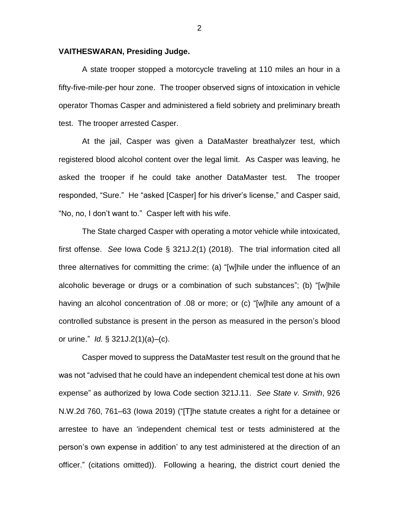## **VAITHESWARAN, Presiding Judge.**

A state trooper stopped a motorcycle traveling at 110 miles an hour in a fifty-five-mile-per hour zone. The trooper observed signs of intoxication in vehicle operator Thomas Casper and administered a field sobriety and preliminary breath test. The trooper arrested Casper.

At the jail, Casper was given a DataMaster breathalyzer test, which registered blood alcohol content over the legal limit. As Casper was leaving, he asked the trooper if he could take another DataMaster test. The trooper responded, "Sure." He "asked [Casper] for his driver's license," and Casper said, "No, no, I don't want to." Casper left with his wife.

The State charged Casper with operating a motor vehicle while intoxicated, first offense. *See* Iowa Code § 321J.2(1) (2018). The trial information cited all three alternatives for committing the crime: (a) "[w]hile under the influence of an alcoholic beverage or drugs or a combination of such substances"; (b) "[w]hile having an alcohol concentration of .08 or more; or (c) "[w]hile any amount of a controlled substance is present in the person as measured in the person's blood or urine." *Id.* § 321J.2(1)(a)–(c).

Casper moved to suppress the DataMaster test result on the ground that he was not "advised that he could have an independent chemical test done at his own expense" as authorized by Iowa Code section 321J.11. *See State v. Smith*, 926 N.W.2d 760, 761–63 (Iowa 2019) ("[T]he statute creates a right for a detainee or arrestee to have an 'independent chemical test or tests administered at the person's own expense in addition' to any test administered at the direction of an officer." (citations omitted)). Following a hearing, the district court denied the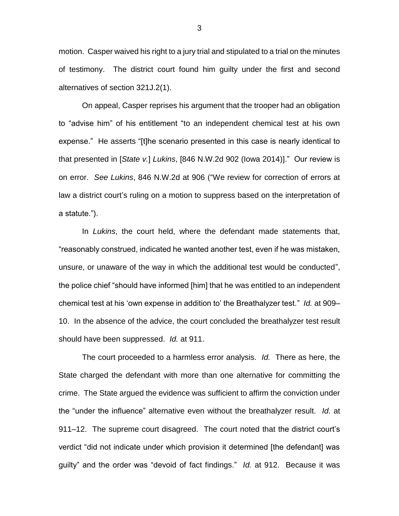motion. Casper waived his right to a jury trial and stipulated to a trial on the minutes of testimony. The district court found him guilty under the first and second alternatives of section 321J.2(1).

On appeal, Casper reprises his argument that the trooper had an obligation to "advise him" of his entitlement "to an independent chemical test at his own expense." He asserts "[t]he scenario presented in this case is nearly identical to that presented in [*State v.*] *Lukins*, [846 N.W.2d 902 (Iowa 2014)]." Our review is on error. *See Lukins*, 846 N.W.2d at 906 ("We review for correction of errors at law a district court's ruling on a motion to suppress based on the interpretation of a statute.").

In *Lukins*, the court held, where the defendant made statements that, "reasonably construed, indicated he wanted another test, even if he was mistaken, unsure, or unaware of the way in which the additional test would be conducted", the police chief "should have informed [him] that he was entitled to an independent chemical test at his 'own expense in addition to' the Breathalyzer test." *Id.* at 909– 10. In the absence of the advice, the court concluded the breathalyzer test result should have been suppressed. *Id.* at 911.

The court proceeded to a harmless error analysis. *Id.* There as here, the State charged the defendant with more than one alternative for committing the crime. The State argued the evidence was sufficient to affirm the conviction under the "under the influence" alternative even without the breathalyzer result. *Id.* at 911–12. The supreme court disagreed. The court noted that the district court's verdict "did not indicate under which provision it determined [the defendant] was guilty" and the order was "devoid of fact findings." *Id.* at 912. Because it was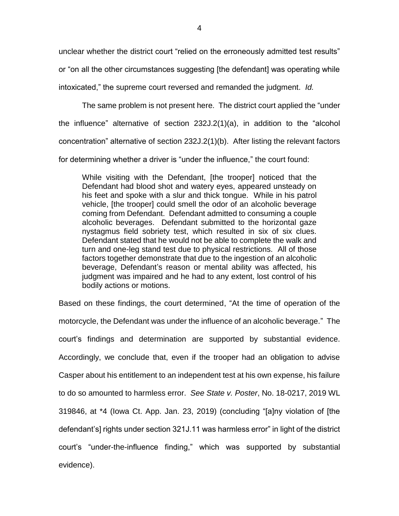unclear whether the district court "relied on the erroneously admitted test results" or "on all the other circumstances suggesting [the defendant] was operating while intoxicated," the supreme court reversed and remanded the judgment. *Id.*

The same problem is not present here. The district court applied the "under the influence" alternative of section 232J.2(1)(a), in addition to the "alcohol concentration" alternative of section 232J.2(1)(b). After listing the relevant factors for determining whether a driver is "under the influence," the court found:

While visiting with the Defendant, [the trooper] noticed that the Defendant had blood shot and watery eyes, appeared unsteady on his feet and spoke with a slur and thick tongue. While in his patrol vehicle, [the trooper] could smell the odor of an alcoholic beverage coming from Defendant. Defendant admitted to consuming a couple alcoholic beverages. Defendant submitted to the horizontal gaze nystagmus field sobriety test, which resulted in six of six clues. Defendant stated that he would not be able to complete the walk and turn and one-leg stand test due to physical restrictions. All of those factors together demonstrate that due to the ingestion of an alcoholic beverage, Defendant's reason or mental ability was affected, his judgment was impaired and he had to any extent, lost control of his bodily actions or motions.

Based on these findings, the court determined, "At the time of operation of the motorcycle, the Defendant was under the influence of an alcoholic beverage." The court's findings and determination are supported by substantial evidence. Accordingly, we conclude that, even if the trooper had an obligation to advise Casper about his entitlement to an independent test at his own expense, his failure to do so amounted to harmless error. *See State v. Poster*, No. 18-0217, 2019 WL 319846, at \*4 (Iowa Ct. App. Jan. 23, 2019) (concluding "[a]ny violation of [the defendant's] rights under section 321J.11 was harmless error" in light of the district court's "under-the-influence finding," which was supported by substantial evidence).